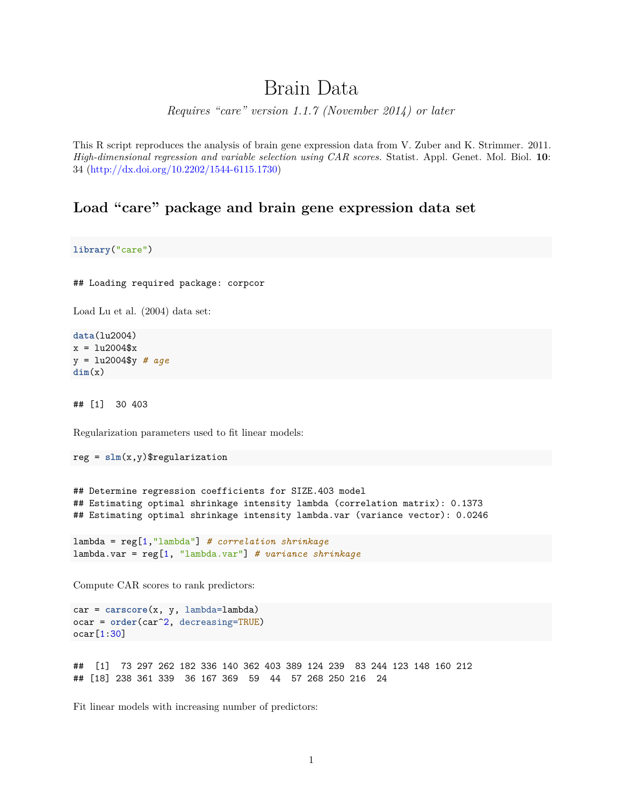# Brain Data

*Requires "care" version 1.1.7 (November 2014) or later*

This R script reproduces the analysis of brain gene expression data from V. Zuber and K. Strimmer. 2011. *High-dimensional regression and variable selection using CAR scores.* Statist. Appl. Genet. Mol. Biol. **10**: 34 [\(http://dx.doi.org/10.2202/1544-6115.1730\)](http://dx.doi.org/10.2202/1544-6115.1730)

#### **Load "care" package and brain gene expression data set**

**library**("care")

## Loading required package: corpcor

Load Lu et al. (2004) data set:

**data**(lu2004)  $x = \frac{lu2004$ \$x y = lu2004\$y *# age* **dim**(x)

## [1] 30 403

Regularization parameters used to fit linear models:

```
reg = slm(x,y)$regularization
```
## Determine regression coefficients for SIZE.403 model ## Estimating optimal shrinkage intensity lambda (correlation matrix): 0.1373 ## Estimating optimal shrinkage intensity lambda.var (variance vector): 0.0246

```
lambda = reg[1,"lambda"] # correlation shrinkage
lambda.var = reg[1, "lambda.var"] # variance shrinkage
```
Compute CAR scores to rank predictors:

```
car = carscore(x, y, lambda=lambda)
ocar = order(car^2, decreasing=TRUE)
ocar[1:30]
```
## [1] 73 297 262 182 336 140 362 403 389 124 239 83 244 123 148 160 212 ## [18] 238 361 339 36 167 369 59 44 57 268 250 216 24

Fit linear models with increasing number of predictors: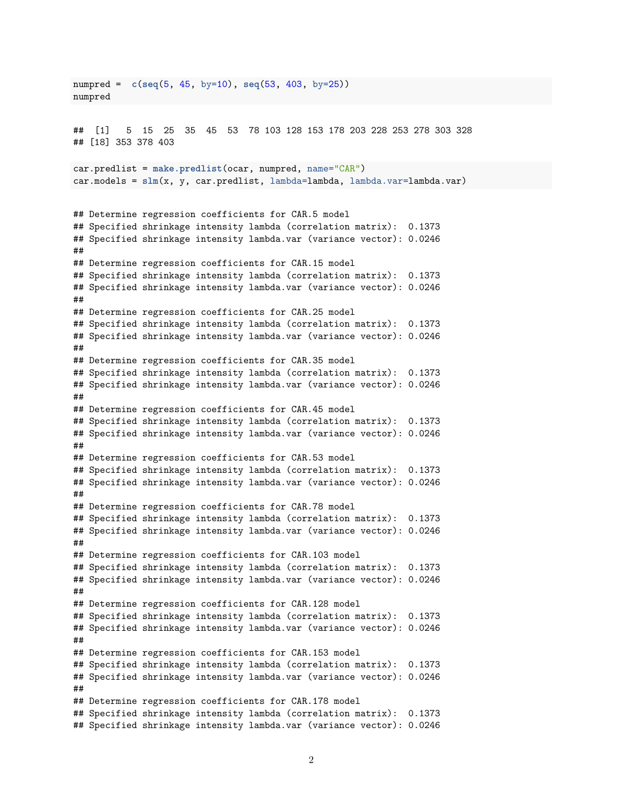numpred = **c**(**seq**(5, 45, by=10), **seq**(53, 403, by=25)) numpred ## [1] 5 15 25 35 45 53 78 103 128 153 178 203 228 253 278 303 328 ## [18] 353 378 403 car.predlist = **make.predlist**(ocar, numpred, name="CAR") car.models = **slm**(x, y, car.predlist, lambda=lambda, lambda.var=lambda.var) ## Determine regression coefficients for CAR.5 model ## Specified shrinkage intensity lambda (correlation matrix): 0.1373 ## Specified shrinkage intensity lambda.var (variance vector): 0.0246 ## ## Determine regression coefficients for CAR.15 model ## Specified shrinkage intensity lambda (correlation matrix): 0.1373 ## Specified shrinkage intensity lambda.var (variance vector): 0.0246 ## ## Determine regression coefficients for CAR.25 model ## Specified shrinkage intensity lambda (correlation matrix): 0.1373 ## Specified shrinkage intensity lambda.var (variance vector): 0.0246 ## ## Determine regression coefficients for CAR.35 model ## Specified shrinkage intensity lambda (correlation matrix): 0.1373 ## Specified shrinkage intensity lambda.var (variance vector): 0.0246 ## ## Determine regression coefficients for CAR.45 model ## Specified shrinkage intensity lambda (correlation matrix): 0.1373 ## Specified shrinkage intensity lambda.var (variance vector): 0.0246 ## ## Determine regression coefficients for CAR.53 model ## Specified shrinkage intensity lambda (correlation matrix): 0.1373 ## Specified shrinkage intensity lambda.var (variance vector): 0.0246 ## ## Determine regression coefficients for CAR.78 model ## Specified shrinkage intensity lambda (correlation matrix): 0.1373 ## Specified shrinkage intensity lambda.var (variance vector): 0.0246 ## ## Determine regression coefficients for CAR.103 model ## Specified shrinkage intensity lambda (correlation matrix): 0.1373 ## Specified shrinkage intensity lambda.var (variance vector): 0.0246 ## ## Determine regression coefficients for CAR.128 model ## Specified shrinkage intensity lambda (correlation matrix): 0.1373 ## Specified shrinkage intensity lambda.var (variance vector): 0.0246 ## ## Determine regression coefficients for CAR.153 model ## Specified shrinkage intensity lambda (correlation matrix): 0.1373 ## Specified shrinkage intensity lambda.var (variance vector): 0.0246 ## ## Determine regression coefficients for CAR.178 model ## Specified shrinkage intensity lambda (correlation matrix): 0.1373 ## Specified shrinkage intensity lambda.var (variance vector): 0.0246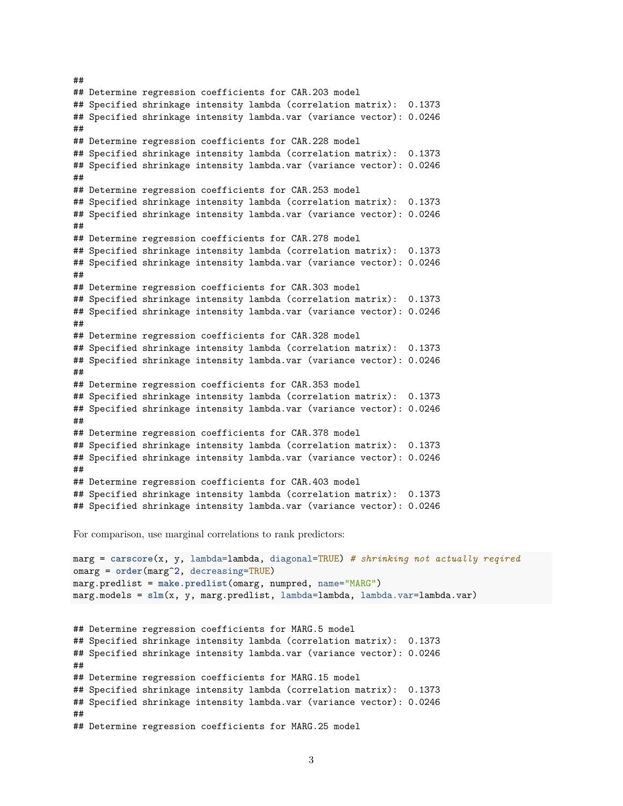## Determine regression coefficients for CAR.203 model ## Specified shrinkage intensity lambda (correlation matrix): 0.1373 ## Specified shrinkage intensity lambda.var (variance vector): 0.0246 ## ## Determine regression coefficients for CAR.228 model ## Specified shrinkage intensity lambda (correlation matrix): 0.1373 ## Specified shrinkage intensity lambda.var (variance vector): 0.0246 ## ## Determine regression coefficients for CAR.253 model ## Specified shrinkage intensity lambda (correlation matrix): 0.1373 ## Specified shrinkage intensity lambda.var (variance vector): 0.0246 ## ## Determine regression coefficients for CAR.278 model ## Specified shrinkage intensity lambda (correlation matrix): 0.1373 ## Specified shrinkage intensity lambda.var (variance vector): 0.0246 ## ## Determine regression coefficients for CAR.303 model ## Specified shrinkage intensity lambda (correlation matrix): 0.1373 ## Specified shrinkage intensity lambda.var (variance vector): 0.0246 ## ## Determine regression coefficients for CAR.328 model ## Specified shrinkage intensity lambda (correlation matrix): 0.1373 ## Specified shrinkage intensity lambda.var (variance vector): 0.0246 ## ## Determine regression coefficients for CAR.353 model ## Specified shrinkage intensity lambda (correlation matrix): 0.1373 ## Specified shrinkage intensity lambda.var (variance vector): 0.0246 ## ## Determine regression coefficients for CAR.378 model ## Specified shrinkage intensity lambda (correlation matrix): 0.1373 ## Specified shrinkage intensity lambda.var (variance vector): 0.0246 ## ## Determine regression coefficients for CAR.403 model ## Specified shrinkage intensity lambda (correlation matrix): 0.1373 ## Specified shrinkage intensity lambda.var (variance vector): 0.0246

For comparison, use marginal correlations to rank predictors:

##

```
marg = carscore(x, y, lambda=lambda, diagonal=TRUE) # shrinking not actually reqired
omarg = order(marg^2, decreasing=TRUE)
marg.predlist = make.predlist(omarg, numpred, name="MARG")
marg.models = \text{slm}(x, y, \text{marg.predlist, lambda=lambda, lambda.var=lambda.var})## Determine regression coefficients for MARG.5 model
## Specified shrinkage intensity lambda (correlation matrix): 0.1373
## Specified shrinkage intensity lambda.var (variance vector): 0.0246
##
## Determine regression coefficients for MARG.15 model
## Specified shrinkage intensity lambda (correlation matrix): 0.1373
## Specified shrinkage intensity lambda.var (variance vector): 0.0246
##
## Determine regression coefficients for MARG.25 model
```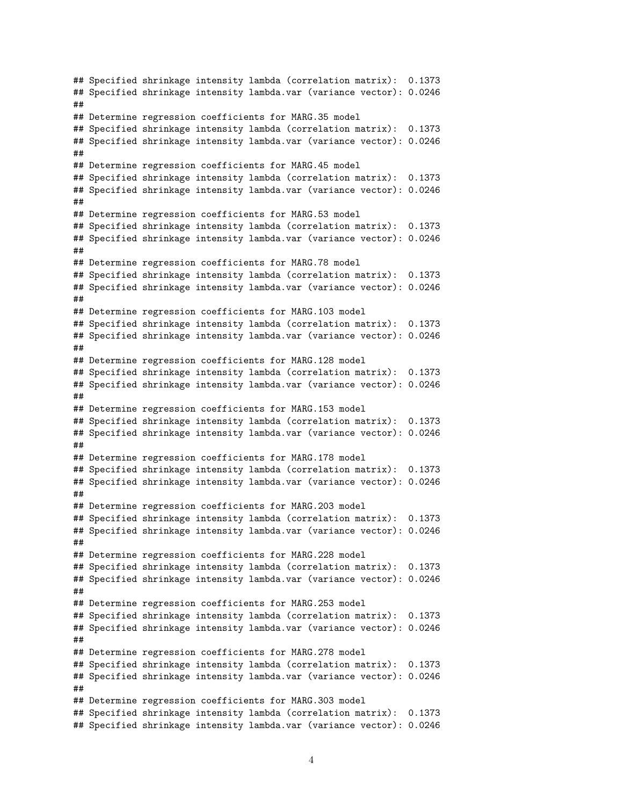## Specified shrinkage intensity lambda (correlation matrix): 0.1373 ## Specified shrinkage intensity lambda.var (variance vector): 0.0246 ## ## Determine regression coefficients for MARG.35 model ## Specified shrinkage intensity lambda (correlation matrix): 0.1373 ## Specified shrinkage intensity lambda.var (variance vector): 0.0246 ## ## Determine regression coefficients for MARG.45 model ## Specified shrinkage intensity lambda (correlation matrix): 0.1373 ## Specified shrinkage intensity lambda.var (variance vector): 0.0246 ## ## Determine regression coefficients for MARG.53 model ## Specified shrinkage intensity lambda (correlation matrix): 0.1373 ## Specified shrinkage intensity lambda.var (variance vector): 0.0246 ## ## Determine regression coefficients for MARG.78 model ## Specified shrinkage intensity lambda (correlation matrix): 0.1373 ## Specified shrinkage intensity lambda.var (variance vector): 0.0246 ## ## Determine regression coefficients for MARG.103 model ## Specified shrinkage intensity lambda (correlation matrix): 0.1373 ## Specified shrinkage intensity lambda.var (variance vector): 0.0246 ## ## Determine regression coefficients for MARG.128 model ## Specified shrinkage intensity lambda (correlation matrix): 0.1373 ## Specified shrinkage intensity lambda.var (variance vector): 0.0246 ## ## Determine regression coefficients for MARG.153 model ## Specified shrinkage intensity lambda (correlation matrix): 0.1373 ## Specified shrinkage intensity lambda.var (variance vector): 0.0246 ## ## Determine regression coefficients for MARG.178 model ## Specified shrinkage intensity lambda (correlation matrix): 0.1373 ## Specified shrinkage intensity lambda.var (variance vector): 0.0246 ## ## Determine regression coefficients for MARG.203 model ## Specified shrinkage intensity lambda (correlation matrix): 0.1373 ## Specified shrinkage intensity lambda.var (variance vector): 0.0246 ## ## Determine regression coefficients for MARG.228 model ## Specified shrinkage intensity lambda (correlation matrix): 0.1373 ## Specified shrinkage intensity lambda.var (variance vector): 0.0246 ## ## Determine regression coefficients for MARG.253 model ## Specified shrinkage intensity lambda (correlation matrix): 0.1373 ## Specified shrinkage intensity lambda.var (variance vector): 0.0246 ## ## Determine regression coefficients for MARG.278 model ## Specified shrinkage intensity lambda (correlation matrix): 0.1373 ## Specified shrinkage intensity lambda.var (variance vector): 0.0246 ## ## Determine regression coefficients for MARG.303 model ## Specified shrinkage intensity lambda (correlation matrix): 0.1373 ## Specified shrinkage intensity lambda.var (variance vector): 0.0246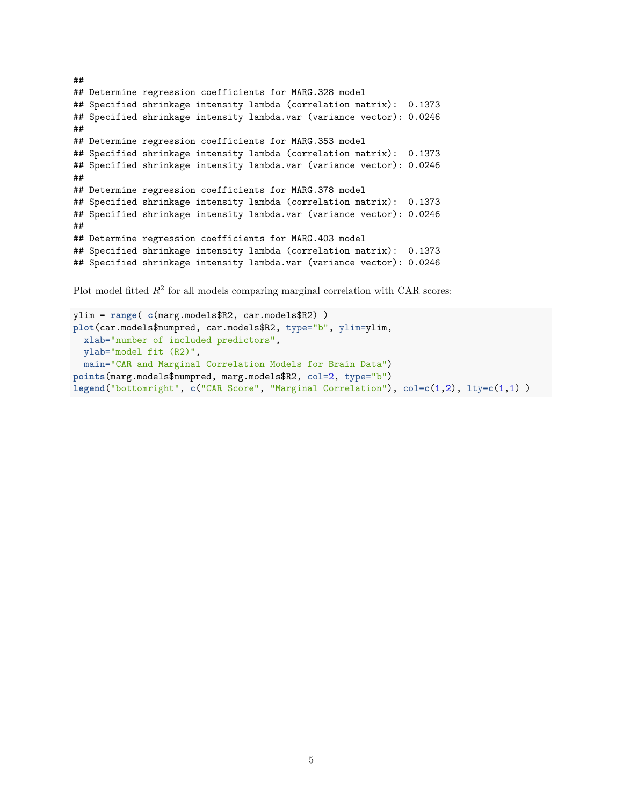## ## Determine regression coefficients for MARG.328 model ## Specified shrinkage intensity lambda (correlation matrix): 0.1373 ## Specified shrinkage intensity lambda.var (variance vector): 0.0246 ## ## Determine regression coefficients for MARG.353 model ## Specified shrinkage intensity lambda (correlation matrix): 0.1373 ## Specified shrinkage intensity lambda.var (variance vector): 0.0246 ## ## Determine regression coefficients for MARG.378 model ## Specified shrinkage intensity lambda (correlation matrix): 0.1373 ## Specified shrinkage intensity lambda.var (variance vector): 0.0246 ## ## Determine regression coefficients for MARG.403 model ## Specified shrinkage intensity lambda (correlation matrix): 0.1373 ## Specified shrinkage intensity lambda.var (variance vector): 0.0246

Plot model fitted  $R^2$  for all models comparing marginal correlation with CAR scores:

```
ylim = range( c(marg.models$R2, car.models$R2) )
plot(car.models$numpred, car.models$R2, type="b", ylim=ylim,
 xlab="number of included predictors",
 ylab="model fit (R2)",
 main="CAR and Marginal Correlation Models for Brain Data")
points(marg.models$numpred, marg.models$R2, col=2, type="b")
legend("bottomright", c("CAR Score", "Marginal Correlation"), col=c(1,2), lty=c(1,1) )
```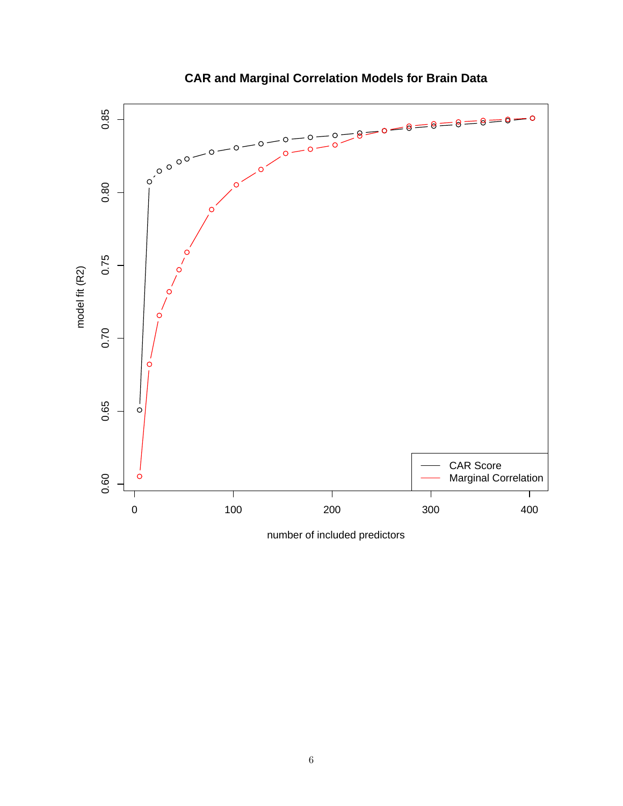

## **CAR and Marginal Correlation Models for Brain Data**

number of included predictors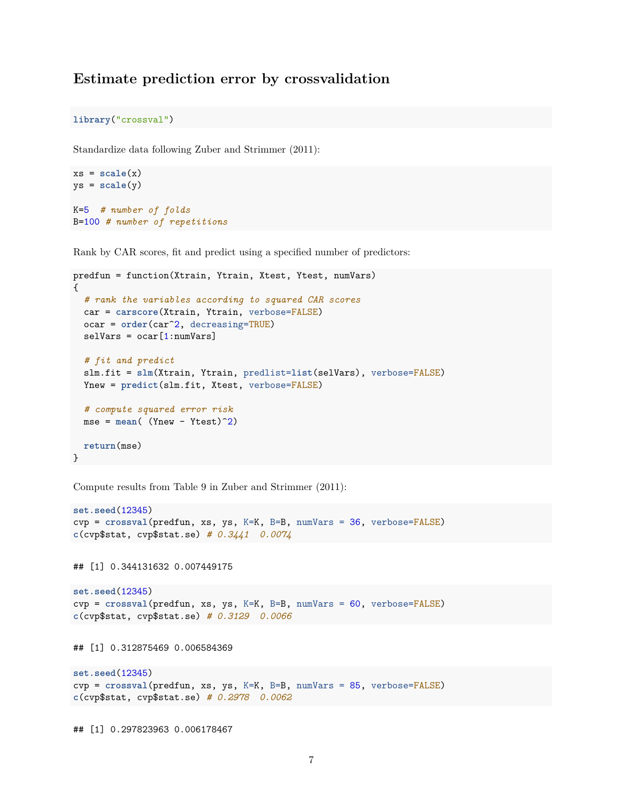#### **Estimate prediction error by crossvalidation**

**library**("crossval")

Standardize data following Zuber and Strimmer (2011):

```
xs = scale(x)ys = scale(y)
K=5 # number of folds
B=100 # number of repetitions
```
Rank by CAR scores, fit and predict using a specified number of predictors:

```
predfun = function(Xtrain, Ytrain, Xtest, Ytest, numVars)
{
  # rank the variables according to squared CAR scores
 car = carscore(Xtrain, Ytrain, verbose=FALSE)
 ocar = order(car^2, decreasing=TRUE)
 selfars = ocar[1:numVars]# fit and predict
 slm.fit = slm(Xtrain, Ytrain, predlist=list(selVars), verbose=FALSE)
 Ynew = predict(slm.fit, Xtest, verbose=FALSE)
  # compute squared error risk
 mse = mean( (Ynew - Ytest)^2)
  return(mse)
}
```
Compute results from Table 9 in Zuber and Strimmer (2011):

```
set.seed(12345)
cvp = crossval(predfun, xs, ys, K=K, B=B, numVars = 36, verbose=FALSE)
c(cvp$stat, cvp$stat.se) # 0.3441 0.0074
## [1] 0.344131632 0.007449175
```

```
set.seed(12345)
cvp = crossval(predfun, xs, ys, K=K, B=B, numVars = 60, verbose=FALSE)
c(cvp$stat, cvp$stat.se) # 0.3129 0.0066
```
## [1] 0.312875469 0.006584369

```
set.seed(12345)
cvp = crossval(predfun, xs, ys, K=K, B=B, numVars = 85, verbose=FALSE)
c(cvp$stat, cvp$stat.se) # 0.2978 0.0062
```
## [1] 0.297823963 0.006178467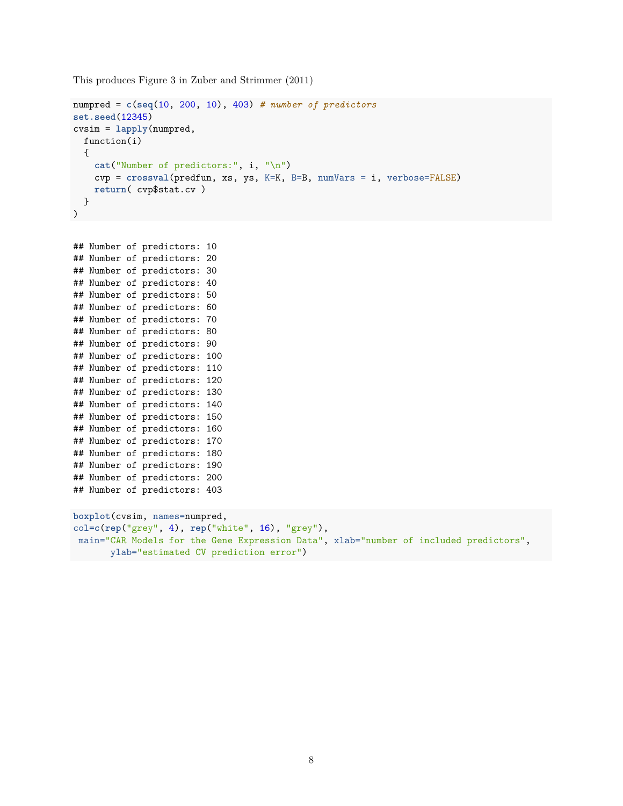This produces Figure 3 in Zuber and Strimmer (2011)

```
numpred = c(seq(10, 200, 10), 403) # number of predictors
set.seed(12345)
cvsim = lapply(numpred,
 function(i)
  {
    cat("Number of predictors:", i, "\n")
    cvp = crossval(predfun, xs, ys, K=K, B=B, numVars = i, verbose=FALSE)
    return( cvp$stat.cv )
  }
)
```

```
## Number of predictors: 10
## Number of predictors: 20
## Number of predictors: 30
## Number of predictors: 40
## Number of predictors: 50
## Number of predictors: 60
## Number of predictors: 70
## Number of predictors: 80
## Number of predictors: 90
## Number of predictors: 100
## Number of predictors: 110
## Number of predictors: 120
## Number of predictors: 130
## Number of predictors: 140
## Number of predictors: 150
## Number of predictors: 160
## Number of predictors: 170
## Number of predictors: 180
## Number of predictors: 190
## Number of predictors: 200
## Number of predictors: 403
```

```
boxplot(cvsim, names=numpred,
col=c(rep("grey", 4), rep("white", 16), "grey"),
main="CAR Models for the Gene Expression Data", xlab="number of included predictors",
      ylab="estimated CV prediction error")
```